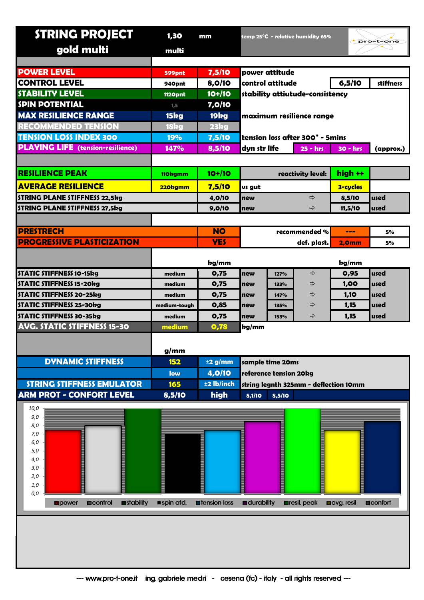| <b>STRING PROJECT</b>                          | 1,30           | mm                    |                                         |        | temp 25°C  - relative humidity 65% |                     | pro-t-one       |
|------------------------------------------------|----------------|-----------------------|-----------------------------------------|--------|------------------------------------|---------------------|-----------------|
| gold multi                                     | multi          |                       |                                         |        |                                    |                     |                 |
|                                                |                |                       |                                         |        |                                    |                     |                 |
| <b>POWER LEVEL</b>                             | 599pnt         | 7,5/10                | power attitude                          |        |                                    |                     |                 |
| <b>CONTROL LEVEL</b>                           | 940pnt         | 8,0/10                | control attitude                        |        |                                    | 6,5/10              | stiffness       |
| <b>STABILITY LEVEL</b>                         | <b>1120pnt</b> | $10+/10$              | stability attiutude-consistency         |        |                                    |                     |                 |
| <b>SPIN POTENTIAL</b>                          | 1,5            | 7,0/10                |                                         |        |                                    |                     |                 |
| <b>MAX RESILIENCE RANGE</b>                    | 15kg           | 19 <sub>kg</sub>      | maximum resilience range                |        |                                    |                     |                 |
| <b>RECOMMENDED TENSION</b>                     | 18kg           | 23kg                  |                                         |        |                                    |                     |                 |
| <b>TENSION LOSS INDEX 300</b>                  | 19%            | 7,5/10                | tension loss after 300" - 5mins         |        |                                    |                     |                 |
| <b>PLAYING LIFE</b> (tension-resilience)       | 147%           | 8,5/10                | dyn str life<br>$25 - hrs$<br>$30 - hr$ |        |                                    |                     | (approx.)       |
|                                                |                |                       |                                         |        |                                    |                     |                 |
| <b>RESILIENCE PEAK</b>                         | 110kgmm        | $10+110$              | reactivity level:                       |        |                                    | high ++             |                 |
| <b>AVERAGE RESILIENCE</b>                      | 220kgmm        | 7,5/10                | us gut                                  |        |                                    | <b>3-cycles</b>     |                 |
| <b>STRING PLANE STIFFNESS 22,5kg</b>           |                | 4,0/10                | $\Rightarrow$<br>new                    |        |                                    | 8,5/10              | used            |
| <b>STRING PLANE STIFFNESS 27,5kg</b>           |                | 9,0/10                | ⇨<br>new                                |        |                                    | 11,5/10             | used            |
|                                                |                |                       |                                         |        |                                    |                     |                 |
| <b>PRESTRECH</b>                               |                | <b>NO</b>             | recommended %                           |        |                                    | ---                 | 5%              |
| <b>PROGRESSIVE PLASTICIZATION</b>              |                | <b>YES</b>            | def. plast.                             |        | 2,0mm                              | 5%                  |                 |
|                                                |                |                       |                                         |        |                                    |                     |                 |
|                                                |                | kg/mm                 |                                         |        |                                    | kg/mm               |                 |
| <b>STATIC STIFFNESS 10-15kg</b>                | medium         | 0,75                  | new                                     | 127%   | ⇨                                  | 0,95                | used            |
| <b>STATIC STIFFNESS 15-20kg</b>                | medium         | 0,75                  | new                                     | 133%   | ⇨                                  | 1,00                | used            |
| <b>STATIC STIFFNESS 20-25kg</b>                | medium         | 0,75                  | new                                     | 147%   | ⇨                                  | 1,10                | used            |
| STATIC STIFFNESS 25-30kg                       | medium-tough   | 0,85                  | new                                     | 135%   | ⇨                                  | 1,15                | used            |
| STATIC STIFFNESS 30-35kg                       | medium         | 0,75                  | new                                     | 153%   | ⇨                                  | 1,15                | lused           |
| <b>AVG. STATIC STIFFNESS 15-30</b>             | medium         | 0,78                  | kg/mm                                   |        |                                    |                     |                 |
|                                                |                |                       |                                         |        |                                    |                     |                 |
|                                                | g/mm           |                       |                                         |        |                                    |                     |                 |
| <b>DYNAMIC STIFFNESS</b>                       | 152            | $\pm$ 2 g/mm          | sample time 20ms                        |        |                                    |                     |                 |
|                                                | low            | 4,0/10                | reference tension 20kg                  |        |                                    |                     |                 |
| <b>STRING STIFFNESS EMULATOR</b>               | 165            | ±2 lb/inch            | string legnth 325mm - deflection 10mm   |        |                                    |                     |                 |
| <b>ARM PROT - CONFORT LEVEL</b>                | 8,5/10         | high                  | 8,1/10                                  | 8,5/10 |                                    |                     |                 |
| 10,0                                           |                |                       |                                         |        |                                    |                     |                 |
| 9,0                                            |                |                       |                                         |        |                                    |                     |                 |
| 8,0<br>7,0                                     |                |                       |                                         |        |                                    |                     |                 |
| 6,0                                            |                |                       |                                         |        |                                    |                     |                 |
| 5,0                                            |                |                       |                                         |        |                                    |                     |                 |
| 4,0<br>3,0                                     |                |                       | ▖                                       |        |                                    |                     |                 |
| 2,0                                            |                |                       |                                         |        |                                    |                     |                 |
| 1,0                                            |                |                       |                                         |        |                                    |                     |                 |
| 0,0                                            |                |                       |                                         |        |                                    |                     |                 |
| stability<br><b>D</b> control<br><b>Opower</b> | spin atd.      | <b>n</b> tension loss | <b>n</b> durability                     |        | <b>Dresil</b> . peak               | <b>Ocivg.</b> resil | <b>Deonfort</b> |
|                                                |                |                       |                                         |        |                                    |                     |                 |
|                                                |                |                       |                                         |        |                                    |                     |                 |
|                                                |                |                       |                                         |        |                                    |                     |                 |
|                                                |                |                       |                                         |        |                                    |                     |                 |
|                                                |                |                       |                                         |        |                                    |                     |                 |